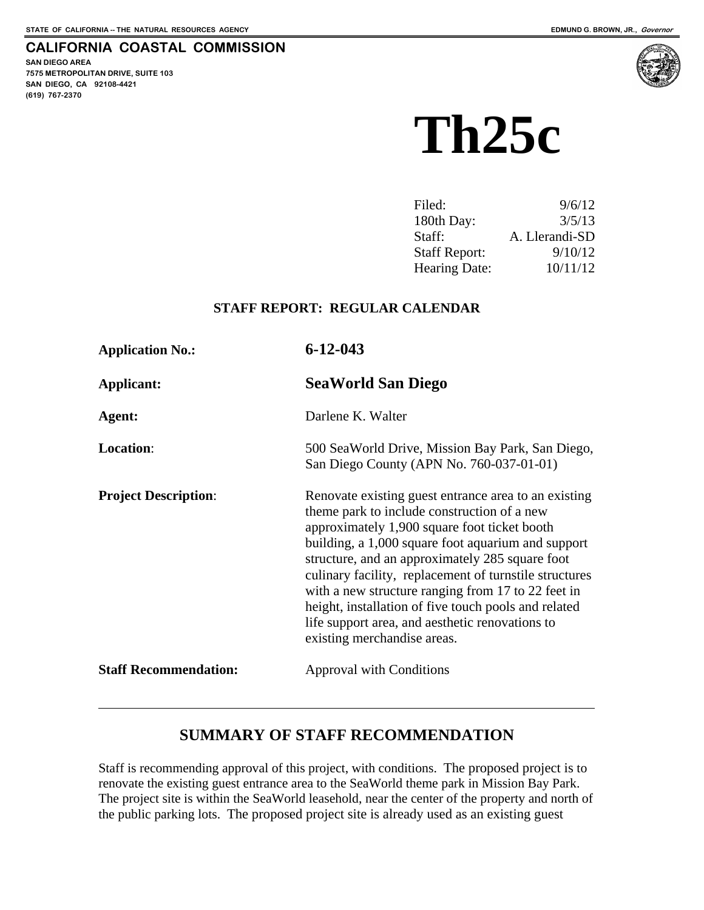#### **CALIFORNIA COASTAL COMMISSION**

**SAN DIEGO AREA 7575 METROPOLITAN DRIVE, SUITE 103 SAN DIEGO, CA 92108-4421 (619) 767-2370**

 $\overline{a}$ 



# **Th25c**

| Filed:               | 9/6/12         |
|----------------------|----------------|
| 180th Day:           | 3/5/13         |
| Staff:               | A. Llerandi-SD |
| <b>Staff Report:</b> | 9/10/12        |
| <b>Hearing Date:</b> | 10/11/12       |

#### **STAFF REPORT: REGULAR CALENDAR**

| <b>Application No.:</b>      | $6 - 12 - 043$                                                                                                                                                                                                                                                                                                                                                                                                                                                                                                         |
|------------------------------|------------------------------------------------------------------------------------------------------------------------------------------------------------------------------------------------------------------------------------------------------------------------------------------------------------------------------------------------------------------------------------------------------------------------------------------------------------------------------------------------------------------------|
| Applicant:                   | <b>SeaWorld San Diego</b>                                                                                                                                                                                                                                                                                                                                                                                                                                                                                              |
| Agent:                       | Darlene K. Walter                                                                                                                                                                                                                                                                                                                                                                                                                                                                                                      |
| Location:                    | 500 SeaWorld Drive, Mission Bay Park, San Diego,<br>San Diego County (APN No. 760-037-01-01)                                                                                                                                                                                                                                                                                                                                                                                                                           |
| <b>Project Description:</b>  | Renovate existing guest entrance area to an existing<br>theme park to include construction of a new<br>approximately 1,900 square foot ticket booth<br>building, a 1,000 square foot aquarium and support<br>structure, and an approximately 285 square foot<br>culinary facility, replacement of turnstile structures<br>with a new structure ranging from 17 to 22 feet in<br>height, installation of five touch pools and related<br>life support area, and aesthetic renovations to<br>existing merchandise areas. |
| <b>Staff Recommendation:</b> | <b>Approval with Conditions</b>                                                                                                                                                                                                                                                                                                                                                                                                                                                                                        |

# **SUMMARY OF STAFF RECOMMENDATION**

Staff is recommending approval of this project, with conditions. The proposed project is to renovate the existing guest entrance area to the SeaWorld theme park in Mission Bay Park. The project site is within the SeaWorld leasehold, near the center of the property and north of the public parking lots. The proposed project site is already used as an existing guest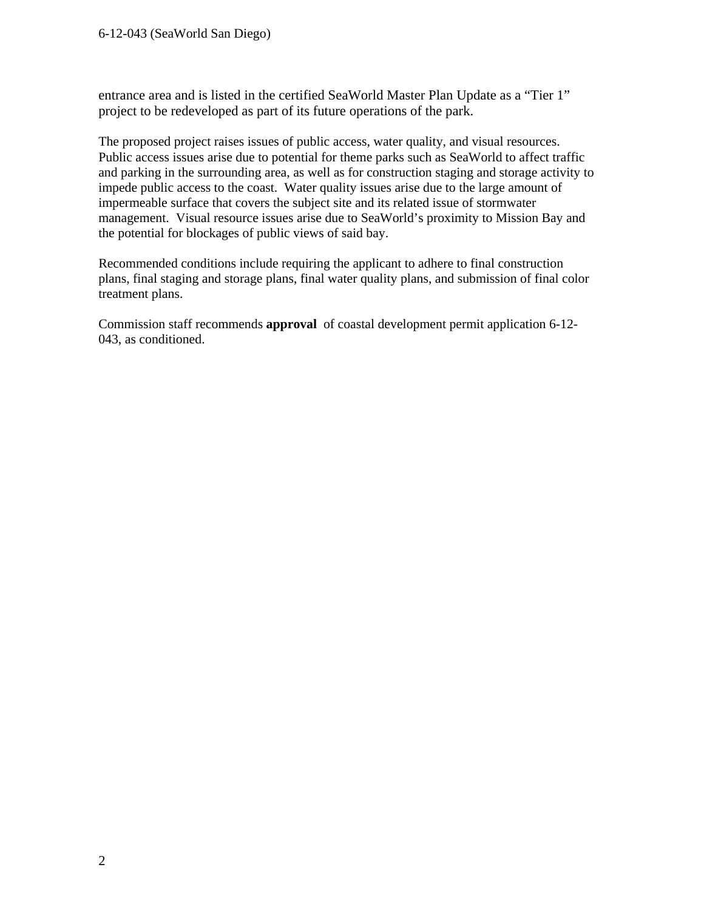entrance area and is listed in the certified SeaWorld Master Plan Update as a "Tier 1" project to be redeveloped as part of its future operations of the park.

The proposed project raises issues of public access, water quality, and visual resources. Public access issues arise due to potential for theme parks such as SeaWorld to affect traffic and parking in the surrounding area, as well as for construction staging and storage activity to impede public access to the coast. Water quality issues arise due to the large amount of impermeable surface that covers the subject site and its related issue of stormwater management. Visual resource issues arise due to SeaWorld's proximity to Mission Bay and the potential for blockages of public views of said bay.

Recommended conditions include requiring the applicant to adhere to final construction plans, final staging and storage plans, final water quality plans, and submission of final color treatment plans.

Commission staff recommends **approval** of coastal development permit application 6-12- 043, as conditioned.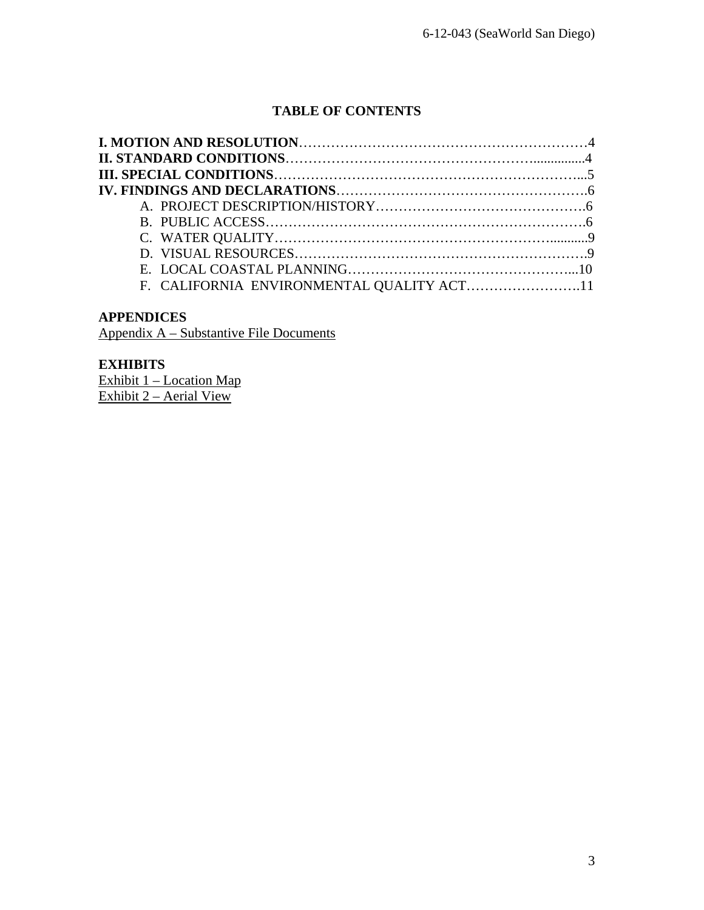## **TABLE OF CONTENTS**

| F. CALIFORNIA ENVIRONMENTAL QUALITY ACT11 |  |
|-------------------------------------------|--|

#### **APPENDICES**

Appendix A – Substantive File Documents

#### **EXHIBITS**

Exhibit 1 – Location Map Exhibit 2 – Aerial View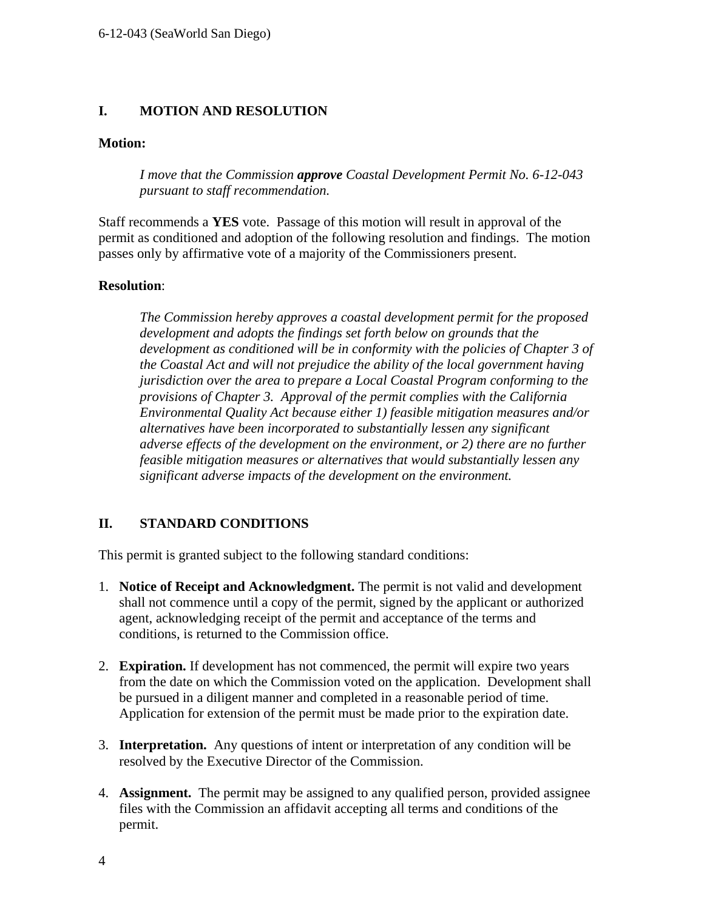#### **I. MOTION AND RESOLUTION**

#### **Motion:**

*I move that the Commission approve Coastal Development Permit No. 6-12-043 pursuant to staff recommendation.* 

Staff recommends a **YES** vote. Passage of this motion will result in approval of the permit as conditioned and adoption of the following resolution and findings. The motion passes only by affirmative vote of a majority of the Commissioners present.

#### **Resolution**:

*The Commission hereby approves a coastal development permit for the proposed development and adopts the findings set forth below on grounds that the development as conditioned will be in conformity with the policies of Chapter 3 of the Coastal Act and will not prejudice the ability of the local government having jurisdiction over the area to prepare a Local Coastal Program conforming to the provisions of Chapter 3. Approval of the permit complies with the California Environmental Quality Act because either 1) feasible mitigation measures and/or alternatives have been incorporated to substantially lessen any significant adverse effects of the development on the environment, or 2) there are no further feasible mitigation measures or alternatives that would substantially lessen any significant adverse impacts of the development on the environment.* 

#### **II. STANDARD CONDITIONS**

This permit is granted subject to the following standard conditions:

- 1. **Notice of Receipt and Acknowledgment.** The permit is not valid and development shall not commence until a copy of the permit, signed by the applicant or authorized agent, acknowledging receipt of the permit and acceptance of the terms and conditions, is returned to the Commission office.
- 2. **Expiration.** If development has not commenced, the permit will expire two years from the date on which the Commission voted on the application. Development shall be pursued in a diligent manner and completed in a reasonable period of time. Application for extension of the permit must be made prior to the expiration date.
- 3. **Interpretation.** Any questions of intent or interpretation of any condition will be resolved by the Executive Director of the Commission.
- 4. **Assignment.** The permit may be assigned to any qualified person, provided assignee files with the Commission an affidavit accepting all terms and conditions of the permit.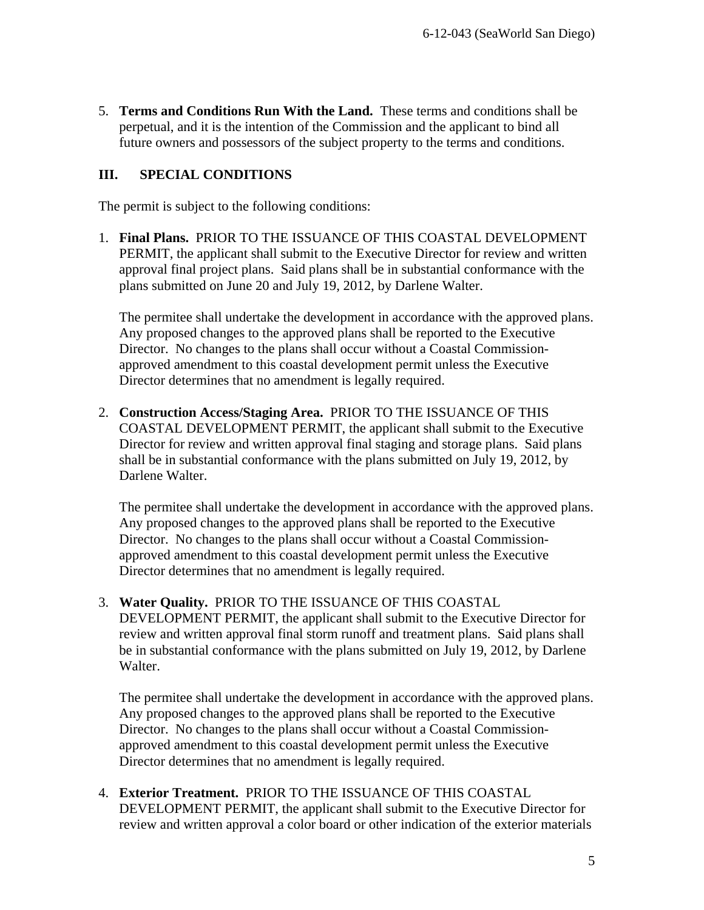5. **Terms and Conditions Run With the Land.** These terms and conditions shall be perpetual, and it is the intention of the Commission and the applicant to bind all future owners and possessors of the subject property to the terms and conditions.

#### **III. SPECIAL CONDITIONS**

The permit is subject to the following conditions:

1. **Final Plans.** PRIOR TO THE ISSUANCE OF THIS COASTAL DEVELOPMENT PERMIT, the applicant shall submit to the Executive Director for review and written approval final project plans. Said plans shall be in substantial conformance with the plans submitted on June 20 and July 19, 2012, by Darlene Walter.

The permitee shall undertake the development in accordance with the approved plans. Any proposed changes to the approved plans shall be reported to the Executive Director. No changes to the plans shall occur without a Coastal Commissionapproved amendment to this coastal development permit unless the Executive Director determines that no amendment is legally required.

2. **Construction Access/Staging Area.** PRIOR TO THE ISSUANCE OF THIS COASTAL DEVELOPMENT PERMIT, the applicant shall submit to the Executive Director for review and written approval final staging and storage plans. Said plans shall be in substantial conformance with the plans submitted on July 19, 2012, by Darlene Walter.

The permitee shall undertake the development in accordance with the approved plans. Any proposed changes to the approved plans shall be reported to the Executive Director. No changes to the plans shall occur without a Coastal Commissionapproved amendment to this coastal development permit unless the Executive Director determines that no amendment is legally required.

3. **Water Quality.** PRIOR TO THE ISSUANCE OF THIS COASTAL

DEVELOPMENT PERMIT, the applicant shall submit to the Executive Director for review and written approval final storm runoff and treatment plans. Said plans shall be in substantial conformance with the plans submitted on July 19, 2012, by Darlene Walter.

The permitee shall undertake the development in accordance with the approved plans. Any proposed changes to the approved plans shall be reported to the Executive Director. No changes to the plans shall occur without a Coastal Commissionapproved amendment to this coastal development permit unless the Executive Director determines that no amendment is legally required.

4. **Exterior Treatment.** PRIOR TO THE ISSUANCE OF THIS COASTAL DEVELOPMENT PERMIT, the applicant shall submit to the Executive Director for review and written approval a color board or other indication of the exterior materials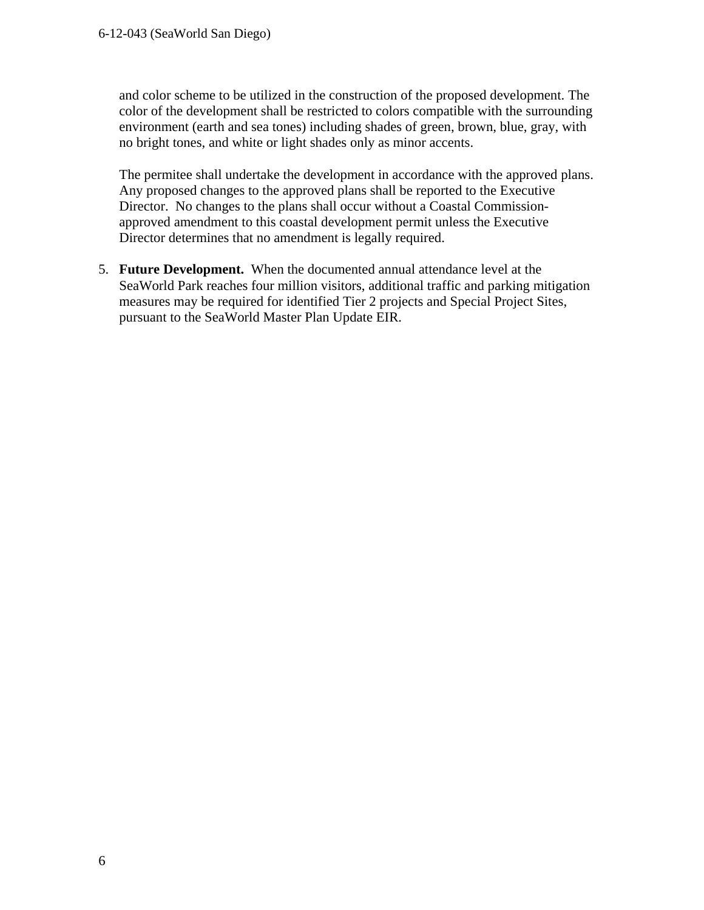and color scheme to be utilized in the construction of the proposed development. The color of the development shall be restricted to colors compatible with the surrounding environment (earth and sea tones) including shades of green, brown, blue, gray, with no bright tones, and white or light shades only as minor accents.

The permitee shall undertake the development in accordance with the approved plans. Any proposed changes to the approved plans shall be reported to the Executive Director. No changes to the plans shall occur without a Coastal Commissionapproved amendment to this coastal development permit unless the Executive Director determines that no amendment is legally required.

5. **Future Development.** When the documented annual attendance level at the SeaWorld Park reaches four million visitors, additional traffic and parking mitigation measures may be required for identified Tier 2 projects and Special Project Sites, pursuant to the SeaWorld Master Plan Update EIR.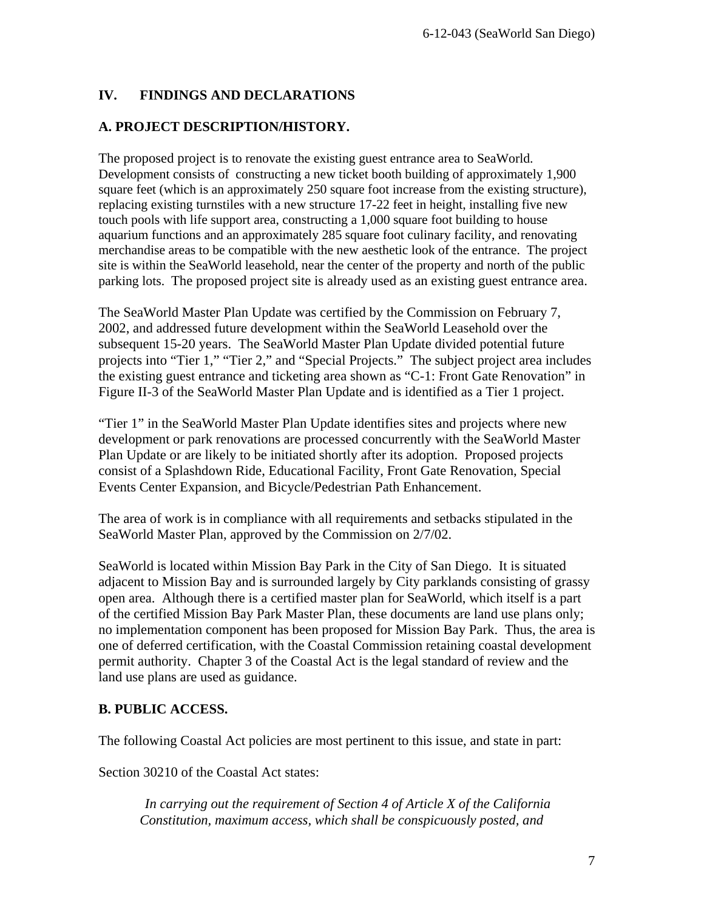## **IV. FINDINGS AND DECLARATIONS**

#### **A. PROJECT DESCRIPTION/HISTORY.**

The proposed project is to renovate the existing guest entrance area to SeaWorld. Development consists of constructing a new ticket booth building of approximately 1,900 square feet (which is an approximately 250 square foot increase from the existing structure), replacing existing turnstiles with a new structure 17-22 feet in height, installing five new touch pools with life support area, constructing a 1,000 square foot building to house aquarium functions and an approximately 285 square foot culinary facility, and renovating merchandise areas to be compatible with the new aesthetic look of the entrance. The project site is within the SeaWorld leasehold, near the center of the property and north of the public parking lots. The proposed project site is already used as an existing guest entrance area.

The SeaWorld Master Plan Update was certified by the Commission on February 7, 2002, and addressed future development within the SeaWorld Leasehold over the subsequent 15-20 years. The SeaWorld Master Plan Update divided potential future projects into "Tier 1," "Tier 2," and "Special Projects." The subject project area includes the existing guest entrance and ticketing area shown as "C-1: Front Gate Renovation" in Figure II-3 of the SeaWorld Master Plan Update and is identified as a Tier 1 project.

"Tier 1" in the SeaWorld Master Plan Update identifies sites and projects where new development or park renovations are processed concurrently with the SeaWorld Master Plan Update or are likely to be initiated shortly after its adoption. Proposed projects consist of a Splashdown Ride, Educational Facility, Front Gate Renovation, Special Events Center Expansion, and Bicycle/Pedestrian Path Enhancement.

The area of work is in compliance with all requirements and setbacks stipulated in the SeaWorld Master Plan, approved by the Commission on 2/7/02.

SeaWorld is located within Mission Bay Park in the City of San Diego. It is situated adjacent to Mission Bay and is surrounded largely by City parklands consisting of grassy open area. Although there is a certified master plan for SeaWorld, which itself is a part of the certified Mission Bay Park Master Plan, these documents are land use plans only; no implementation component has been proposed for Mission Bay Park. Thus, the area is one of deferred certification, with the Coastal Commission retaining coastal development permit authority. Chapter 3 of the Coastal Act is the legal standard of review and the land use plans are used as guidance.

#### **B. PUBLIC ACCESS.**

The following Coastal Act policies are most pertinent to this issue, and state in part:

Section 30210 of the Coastal Act states:

 *In carrying out the requirement of Section 4 of Article X of the California Constitution, maximum access, which shall be conspicuously posted, and*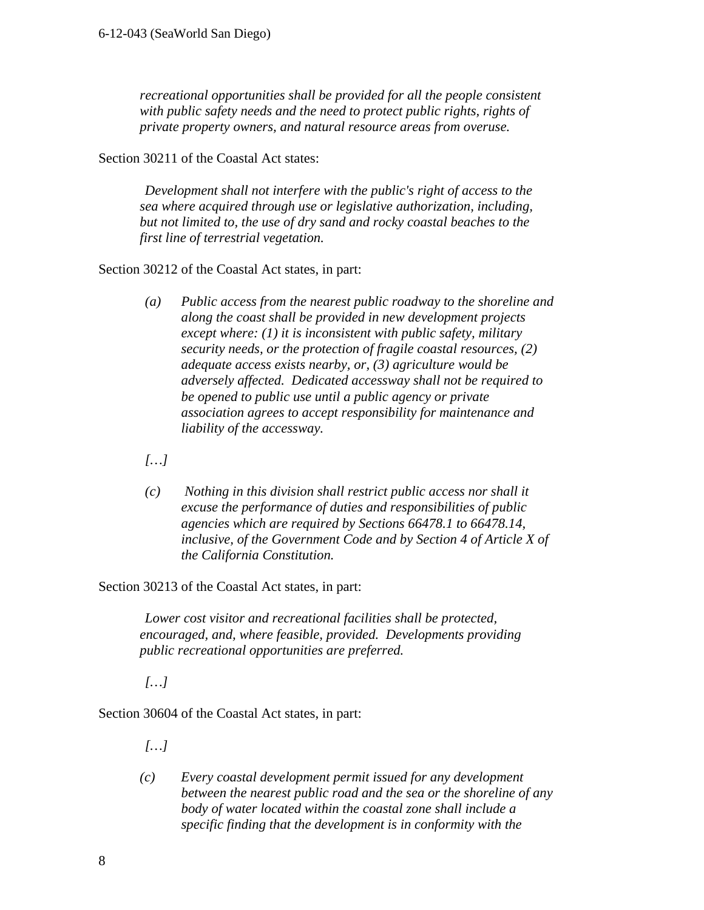*recreational opportunities shall be provided for all the people consistent with public safety needs and the need to protect public rights, rights of private property owners, and natural resource areas from overuse.* 

Section 30211 of the Coastal Act states:

 *Development shall not interfere with the public's right of access to the sea where acquired through use or legislative authorization, including, but not limited to, the use of dry sand and rocky coastal beaches to the first line of terrestrial vegetation.* 

Section 30212 of the Coastal Act states, in part:

 *(a) Public access from the nearest public roadway to the shoreline and along the coast shall be provided in new development projects except where: (1) it is inconsistent with public safety, military security needs, or the protection of fragile coastal resources, (2) adequate access exists nearby, or, (3) agriculture would be adversely affected. Dedicated accessway shall not be required to be opened to public use until a public agency or private association agrees to accept responsibility for maintenance and liability of the accessway.* 

 *[…]* 

 *(c) Nothing in this division shall restrict public access nor shall it excuse the performance of duties and responsibilities of public agencies which are required by Sections 66478.1 to 66478.14, inclusive, of the Government Code and by Section 4 of Article X of the California Constitution.* 

Section 30213 of the Coastal Act states, in part:

 *Lower cost visitor and recreational facilities shall be protected, encouraged, and, where feasible, provided. Developments providing public recreational opportunities are preferred.* 

 *[…]* 

Section 30604 of the Coastal Act states, in part:

 *[…]* 

*(c) Every coastal development permit issued for any development between the nearest public road and the sea or the shoreline of any body of water located within the coastal zone shall include a specific finding that the development is in conformity with the*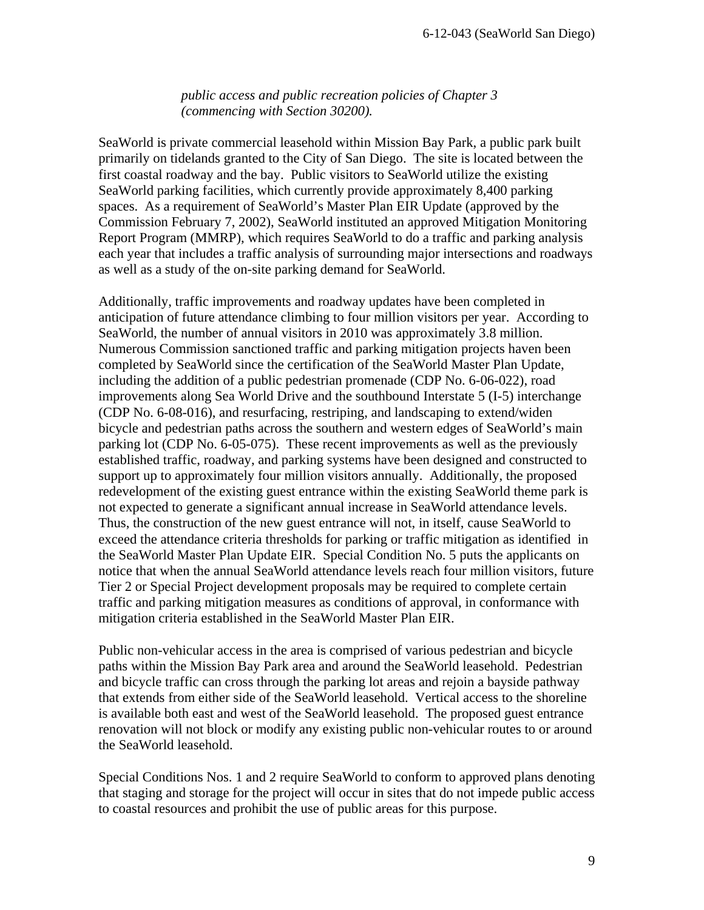*public access and public recreation policies of Chapter 3 (commencing with Section 30200).* 

SeaWorld is private commercial leasehold within Mission Bay Park, a public park built primarily on tidelands granted to the City of San Diego. The site is located between the first coastal roadway and the bay. Public visitors to SeaWorld utilize the existing SeaWorld parking facilities, which currently provide approximately 8,400 parking spaces. As a requirement of SeaWorld's Master Plan EIR Update (approved by the Commission February 7, 2002), SeaWorld instituted an approved Mitigation Monitoring Report Program (MMRP), which requires SeaWorld to do a traffic and parking analysis each year that includes a traffic analysis of surrounding major intersections and roadways as well as a study of the on-site parking demand for SeaWorld.

Additionally, traffic improvements and roadway updates have been completed in anticipation of future attendance climbing to four million visitors per year. According to SeaWorld, the number of annual visitors in 2010 was approximately 3.8 million. Numerous Commission sanctioned traffic and parking mitigation projects haven been completed by SeaWorld since the certification of the SeaWorld Master Plan Update, including the addition of a public pedestrian promenade (CDP No. 6-06-022), road improvements along Sea World Drive and the southbound Interstate 5 (I-5) interchange (CDP No. 6-08-016), and resurfacing, restriping, and landscaping to extend/widen bicycle and pedestrian paths across the southern and western edges of SeaWorld's main parking lot (CDP No. 6-05-075). These recent improvements as well as the previously established traffic, roadway, and parking systems have been designed and constructed to support up to approximately four million visitors annually. Additionally, the proposed redevelopment of the existing guest entrance within the existing SeaWorld theme park is not expected to generate a significant annual increase in SeaWorld attendance levels. Thus, the construction of the new guest entrance will not, in itself, cause SeaWorld to exceed the attendance criteria thresholds for parking or traffic mitigation as identified in the SeaWorld Master Plan Update EIR. Special Condition No. 5 puts the applicants on notice that when the annual SeaWorld attendance levels reach four million visitors, future Tier 2 or Special Project development proposals may be required to complete certain traffic and parking mitigation measures as conditions of approval, in conformance with mitigation criteria established in the SeaWorld Master Plan EIR.

Public non-vehicular access in the area is comprised of various pedestrian and bicycle paths within the Mission Bay Park area and around the SeaWorld leasehold. Pedestrian and bicycle traffic can cross through the parking lot areas and rejoin a bayside pathway that extends from either side of the SeaWorld leasehold. Vertical access to the shoreline is available both east and west of the SeaWorld leasehold. The proposed guest entrance renovation will not block or modify any existing public non-vehicular routes to or around the SeaWorld leasehold.

Special Conditions Nos. 1 and 2 require SeaWorld to conform to approved plans denoting that staging and storage for the project will occur in sites that do not impede public access to coastal resources and prohibit the use of public areas for this purpose.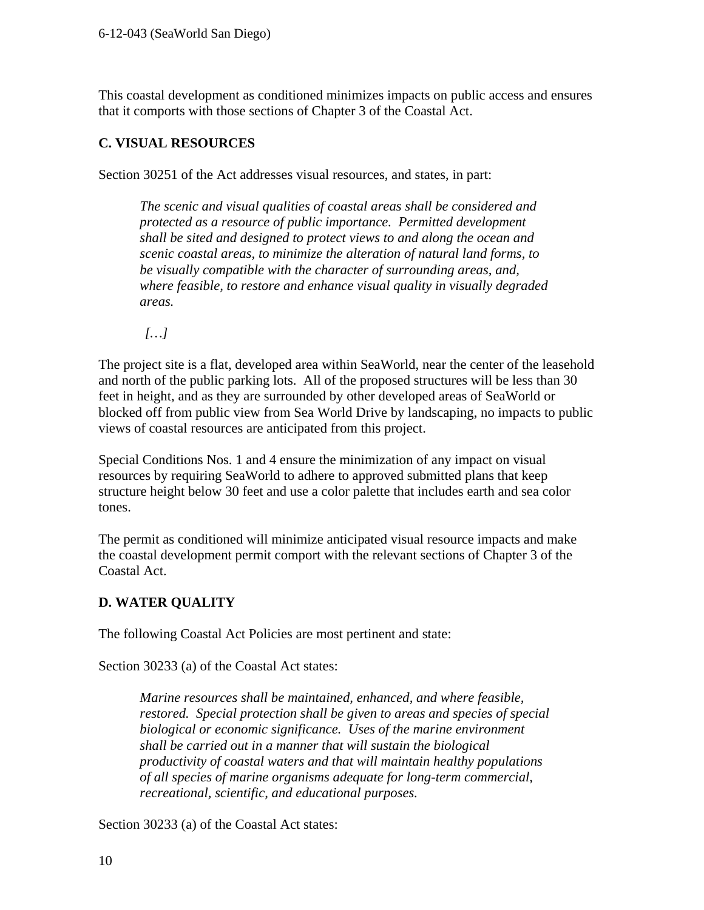This coastal development as conditioned minimizes impacts on public access and ensures that it comports with those sections of Chapter 3 of the Coastal Act.

#### **C. VISUAL RESOURCES**

Section 30251 of the Act addresses visual resources, and states, in part:

*The scenic and visual qualities of coastal areas shall be considered and protected as a resource of public importance. Permitted development shall be sited and designed to protect views to and along the ocean and scenic coastal areas, to minimize the alteration of natural land forms, to be visually compatible with the character of surrounding areas, and, where feasible, to restore and enhance visual quality in visually degraded areas.* 

 *[…]* 

The project site is a flat, developed area within SeaWorld, near the center of the leasehold and north of the public parking lots. All of the proposed structures will be less than 30 feet in height, and as they are surrounded by other developed areas of SeaWorld or blocked off from public view from Sea World Drive by landscaping, no impacts to public views of coastal resources are anticipated from this project.

Special Conditions Nos. 1 and 4 ensure the minimization of any impact on visual resources by requiring SeaWorld to adhere to approved submitted plans that keep structure height below 30 feet and use a color palette that includes earth and sea color tones.

The permit as conditioned will minimize anticipated visual resource impacts and make the coastal development permit comport with the relevant sections of Chapter 3 of the Coastal Act.

## **D. WATER QUALITY**

The following Coastal Act Policies are most pertinent and state:

Section 30233 (a) of the Coastal Act states:

*Marine resources shall be maintained, enhanced, and where feasible, restored. Special protection shall be given to areas and species of special biological or economic significance. Uses of the marine environment shall be carried out in a manner that will sustain the biological productivity of coastal waters and that will maintain healthy populations of all species of marine organisms adequate for long-term commercial, recreational, scientific, and educational purposes.* 

Section 30233 (a) of the Coastal Act states: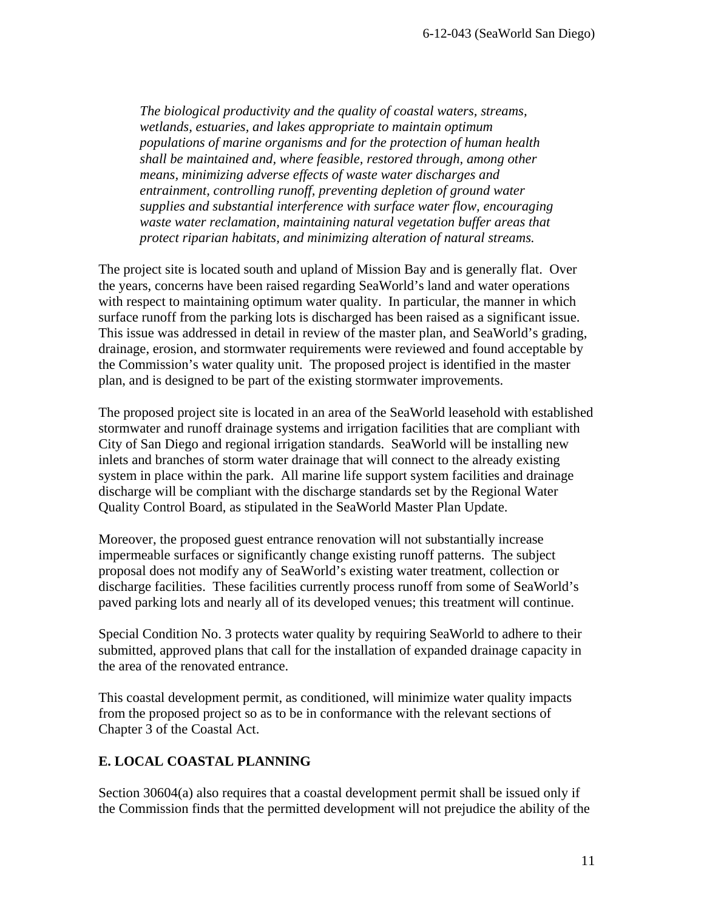*The biological productivity and the quality of coastal waters, streams, wetlands, estuaries, and lakes appropriate to maintain optimum populations of marine organisms and for the protection of human health shall be maintained and, where feasible, restored through, among other means, minimizing adverse effects of waste water discharges and entrainment, controlling runoff, preventing depletion of ground water supplies and substantial interference with surface water flow, encouraging waste water reclamation, maintaining natural vegetation buffer areas that protect riparian habitats, and minimizing alteration of natural streams.* 

The project site is located south and upland of Mission Bay and is generally flat. Over the years, concerns have been raised regarding SeaWorld's land and water operations with respect to maintaining optimum water quality. In particular, the manner in which surface runoff from the parking lots is discharged has been raised as a significant issue. This issue was addressed in detail in review of the master plan, and SeaWorld's grading, drainage, erosion, and stormwater requirements were reviewed and found acceptable by the Commission's water quality unit. The proposed project is identified in the master plan, and is designed to be part of the existing stormwater improvements.

The proposed project site is located in an area of the SeaWorld leasehold with established stormwater and runoff drainage systems and irrigation facilities that are compliant with City of San Diego and regional irrigation standards. SeaWorld will be installing new inlets and branches of storm water drainage that will connect to the already existing system in place within the park. All marine life support system facilities and drainage discharge will be compliant with the discharge standards set by the Regional Water Quality Control Board, as stipulated in the SeaWorld Master Plan Update.

Moreover, the proposed guest entrance renovation will not substantially increase impermeable surfaces or significantly change existing runoff patterns. The subject proposal does not modify any of SeaWorld's existing water treatment, collection or discharge facilities. These facilities currently process runoff from some of SeaWorld's paved parking lots and nearly all of its developed venues; this treatment will continue.

Special Condition No. 3 protects water quality by requiring SeaWorld to adhere to their submitted, approved plans that call for the installation of expanded drainage capacity in the area of the renovated entrance.

This coastal development permit, as conditioned, will minimize water quality impacts from the proposed project so as to be in conformance with the relevant sections of Chapter 3 of the Coastal Act.

#### **E. LOCAL COASTAL PLANNING**

Section 30604(a) also requires that a coastal development permit shall be issued only if the Commission finds that the permitted development will not prejudice the ability of the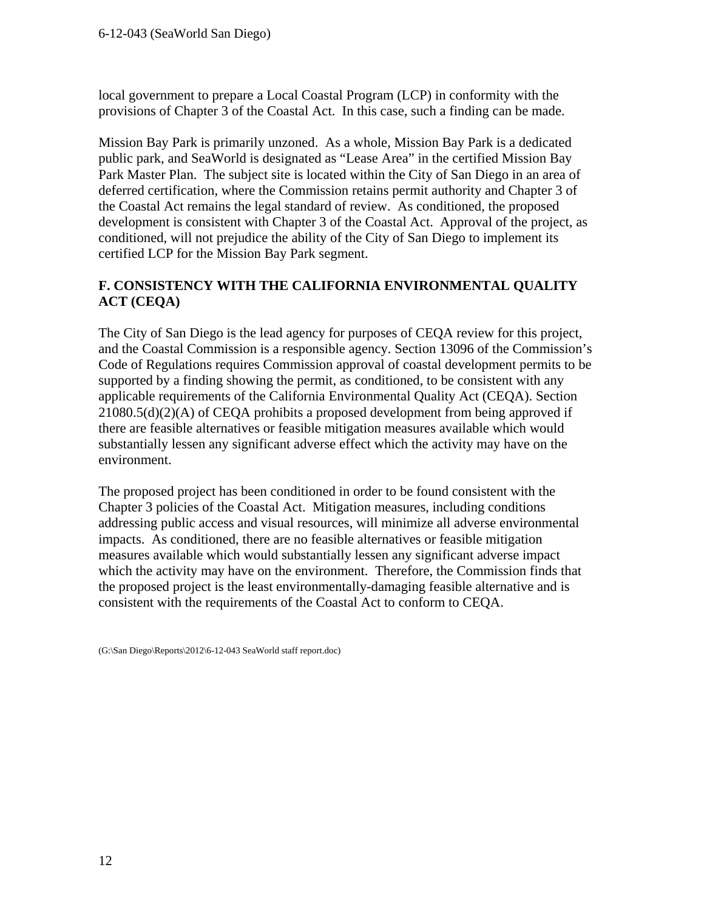local government to prepare a Local Coastal Program (LCP) in conformity with the provisions of Chapter 3 of the Coastal Act. In this case, such a finding can be made.

Mission Bay Park is primarily unzoned. As a whole, Mission Bay Park is a dedicated public park, and SeaWorld is designated as "Lease Area" in the certified Mission Bay Park Master Plan. The subject site is located within the City of San Diego in an area of deferred certification, where the Commission retains permit authority and Chapter 3 of the Coastal Act remains the legal standard of review. As conditioned, the proposed development is consistent with Chapter 3 of the Coastal Act. Approval of the project, as conditioned, will not prejudice the ability of the City of San Diego to implement its certified LCP for the Mission Bay Park segment.

#### **F. CONSISTENCY WITH THE CALIFORNIA ENVIRONMENTAL QUALITY ACT (CEQA)**

The City of San Diego is the lead agency for purposes of CEQA review for this project, and the Coastal Commission is a responsible agency. Section 13096 of the Commission's Code of Regulations requires Commission approval of coastal development permits to be supported by a finding showing the permit, as conditioned, to be consistent with any applicable requirements of the California Environmental Quality Act (CEQA). Section 21080.5(d)(2)(A) of CEQA prohibits a proposed development from being approved if there are feasible alternatives or feasible mitigation measures available which would substantially lessen any significant adverse effect which the activity may have on the environment.

The proposed project has been conditioned in order to be found consistent with the Chapter 3 policies of the Coastal Act. Mitigation measures, including conditions addressing public access and visual resources, will minimize all adverse environmental impacts. As conditioned, there are no feasible alternatives or feasible mitigation measures available which would substantially lessen any significant adverse impact which the activity may have on the environment. Therefore, the Commission finds that the proposed project is the least environmentally-damaging feasible alternative and is consistent with the requirements of the Coastal Act to conform to CEQA.

<sup>(</sup>G:\San Diego\Reports\2012\6-12-043 SeaWorld staff report.doc)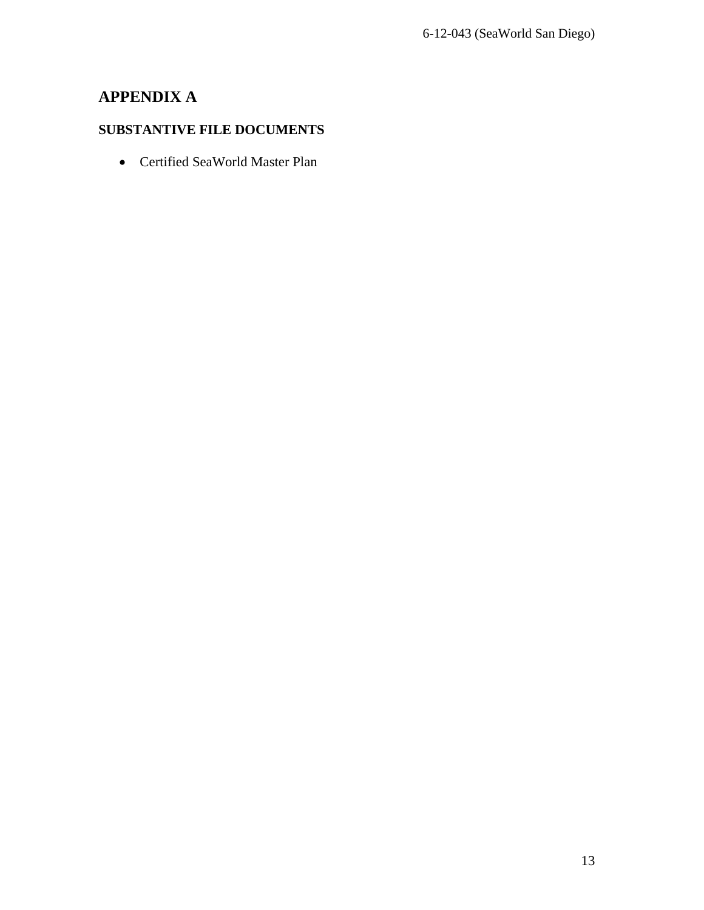# **APPENDIX A**

## **SUBSTANTIVE FILE DOCUMENTS**

Certified SeaWorld Master Plan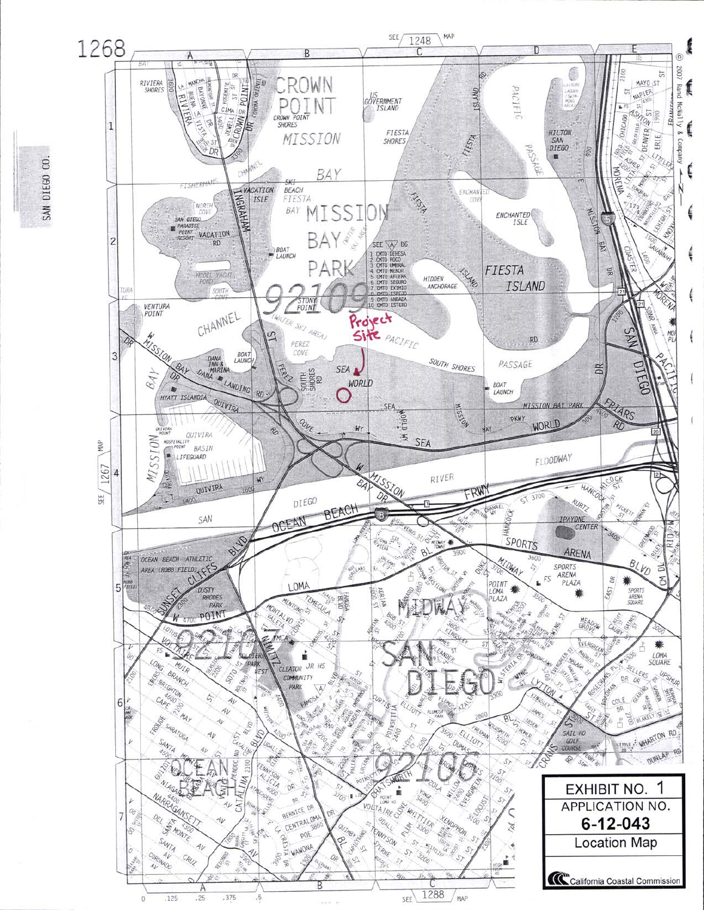

SAN DIEGO CO.